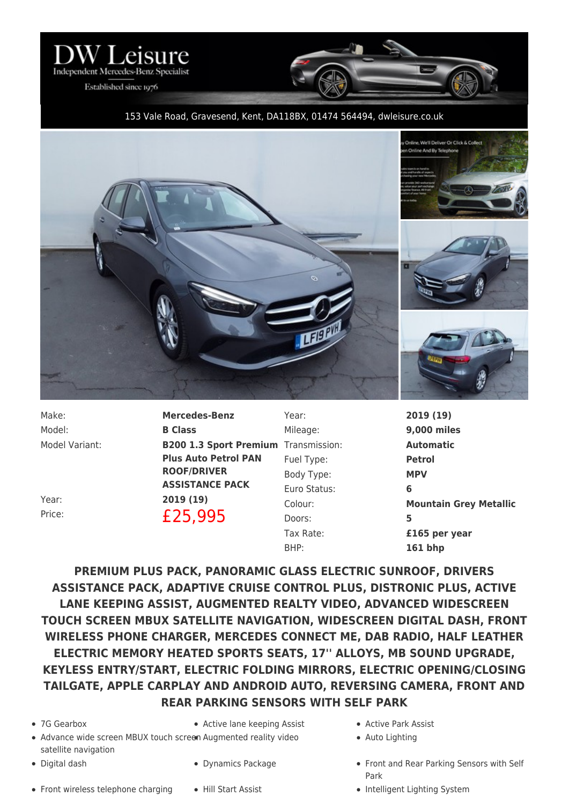

Established since 1976

## 153 Vale Road, Gravesend, Kent, DA118BX, 01474 564494, [dwleisure.co.uk](https://www.dwleisure.co.uk)



Model: **B Class**

Make: **Mercedes-Benz** Model Variant: **B200 1.3 Sport Premium** Transmission: **Automatic Plus Auto Petrol PAN ROOF/DRIVER ASSISTANCE PACK** Year: **2019 (19)** Price: **£25,995** 

Year: **2019 (19)** Mileage: **9,000 miles** Fuel Type: **Petrol** Body Type: **MPV** Euro Status: **6** Doors: **5** BHP: **161 bhp**

Colour: **Mountain Grey Metallic** Tax Rate: **£165 per year**

**PREMIUM PLUS PACK, PANORAMIC GLASS ELECTRIC SUNROOF, DRIVERS ASSISTANCE PACK, ADAPTIVE CRUISE CONTROL PLUS, DISTRONIC PLUS, ACTIVE LANE KEEPING ASSIST, AUGMENTED REALTY VIDEO, ADVANCED WIDESCREEN TOUCH SCREEN MBUX SATELLITE NAVIGATION, WIDESCREEN DIGITAL DASH, FRONT WIRELESS PHONE CHARGER, MERCEDES CONNECT ME, DAB RADIO, HALF LEATHER ELECTRIC MEMORY HEATED SPORTS SEATS, 17'' ALLOYS, MB SOUND UPGRADE, KEYLESS ENTRY/START, ELECTRIC FOLDING MIRRORS, ELECTRIC OPENING/CLOSING TAILGATE, APPLE CARPLAY AND ANDROID AUTO, REVERSING CAMERA, FRONT AND REAR PARKING SENSORS WITH SELF PARK**

- 
- 7G Gearbox Active lane keeping Assist Active Park Assist
- Advance wide screen MBUX touch screen Augmented reality video  $\qquad \qquad \bullet \quad$  Auto Lighting satellite navigation
- 
- Front wireless telephone charging Hill Start Assist Intelligent Lighting System
- -
- 
- 
- Digital dash **Example 2** or Dynamics Package **Front and Rear Parking Sensors with Self** Park
	-